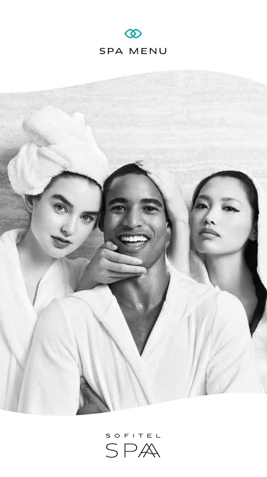



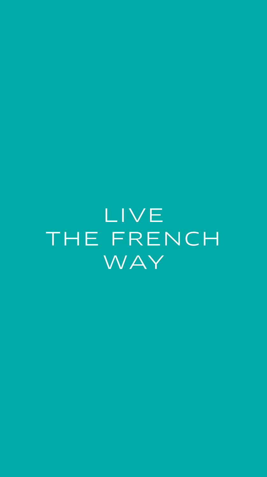LIVE THE FRENCH WAY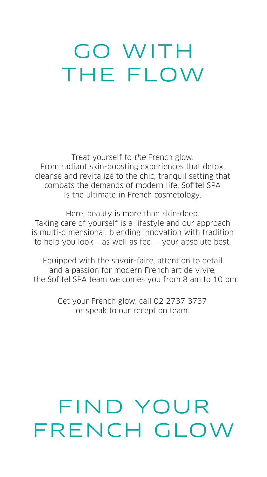# GO WITH THE FLOW

Treat yourself to the French glow. From radiant skin-boosting experiences that detox, cleanse and revitalize to the chic, tranquil setting that combats the demands of modern life, Sofitel SPA is the ultimate in French cosmetology.

Here, beauty is more than skin-deep. Taking care of yourself is a lifestyle and our approach is multi-dimensional, blending innovation with tradition to help you look – as well as feel – your absolute best.

Equipped with the savoir-faire, attention to detail and a passion for modern French art de vivre, the Sofitel SPA team welcomes you from 8 am to 10 pm

> Get your French glow, call 02 2737 3737 or speak to our reception team.

# FIND YOUR FRENCH GLOW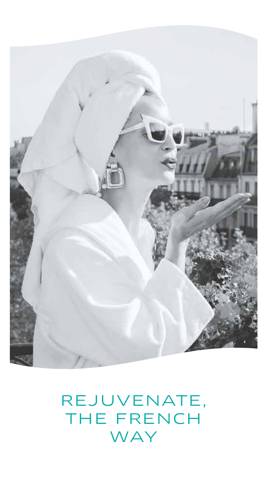

# REJUVENATE, THE FRENCH WAY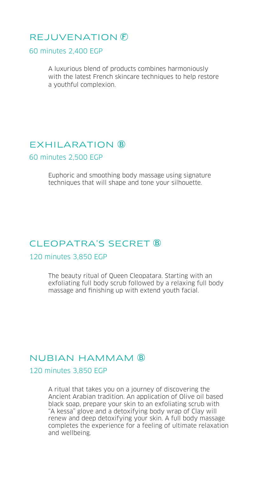## REJUVENATION

60 minutes 2,400 EGP

A luxurious blend of products combines harmoniously with the latest French skincare techniques to help restore a youthful complexion.

#### EXHILARATION **B**

60 minutes 2,500 EGP

Euphoric and smoothing body massage using signature techniques that will shape and tone your silhouette.

#### CLEOPATRA'S SECRET ®

#### 120 minutes 3,850 EGP

The beauty ritual of Queen Cleopatara. Starting with an exfoliating full body scrub followed by a relaxing full body massage and finishing up with extend youth facial.

#### NUBIAN HAMMAM

#### 120 minutes 3,850 EGP

A ritual that takes you on a journey of discovering the Ancient Arabian tradition. An application of Olive oil based black soap, prepare your skin to an exfoliating scrub with "A kessa" glove and a detoxifying body wrap of Clay will renew and deep detoxifying your skin. A full body massage completes the experience for a feeling of ultimate relaxation and wellbeing.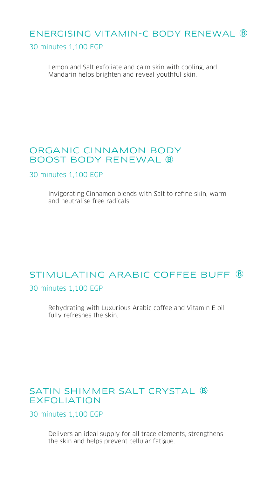# ENERGISING VITAMIN-C BODY RENEWAL

#### 30 minutes 1,100 EGP

Lemon and Salt exfoliate and calm skin with cooling, and Mandarin helps brighten and reveal youthful skin.

#### ORGANIC CINNAMON BODY BOOST BODY RENEWAL

30 minutes 1,100 EGP

Invigorating Cinnamon blends with Salt to refine skin, warm and neutralise free radicals.

# STIMULATING ARABIC COFFFF BUFF  $\overline{B}$

30 minutes 1,100 EGP

Rehydrating with Luxurious Arabic coffee and Vitamin E oil fully refreshes the skin.

# SATIN SHIMMER SALT CRYSTAL  $\overline{B}$ EXFOLIATION

30 minutes 1,100 EGP

Delivers an ideal supply for all trace elements, strengthens the skin and helps prevent cellular fatigue.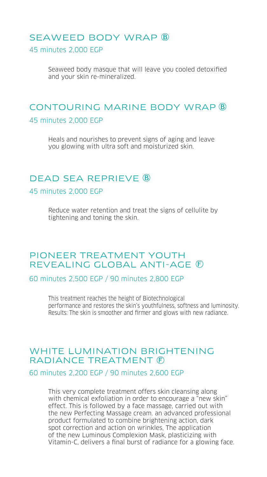## SEAWEED BODY WRAP 45 minutes 2,000 EGP

Seaweed body masque that will leave you cooled detoxified and your skin re-mineralized.

### CONTOURING MARINE BODY WRAP 45 minutes 2,000 EGP

Heals and nourishes to prevent signs of aging and leave you glowing with ultra soft and moisturized skin.

#### DEAD SEA REPRIEVE

#### 45 minutes 2,000 EGP

Reduce water retention and treat the signs of cellulite by tightening and toning the skin.

#### PIONEER TREATMENT YOUTH REVEALING GLOBAL ANTI-AGE

60 minutes 2,500 EGP / 90 minutes 2,800 EGP

This treatment reaches the height of Biotechnological performance and restores the skin's youthfulness, softness and luminosity. Results: The skin is smoother and firmer and glows with new radiance.

#### WHITE LUMINATION BRIGHTENING RADIANCE TREATMENT (F)

#### 60 minutes 2,200 EGP / 90 minutes 2,600 EGP

This very complete treatment offers skin cleansing along with chemical exfoliation in order to encourage a "new skin" effect. This is followed by a face massage, carried out with the new Perfecting Massage cream. an advanced professional product formulated to combine brightening action, dark spot correction and action on wrinkles, The application of the new Luminous Complexion Mask, plasticizing with Vitamin-C, delivers a final burst of radiance for a glowing face.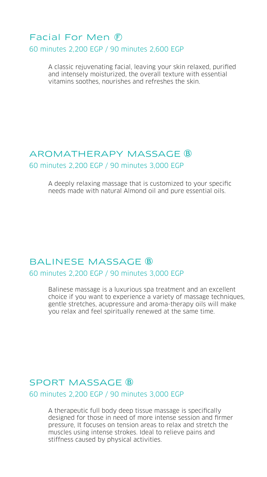## Facial For Men 60 minutes 2,200 EGP / 90 minutes 2,600 EGP

A classic rejuvenating facial, leaving your skin relaxed, purified and intensely moisturized, the overall texture with essential vitamins soothes, nourishes and refreshes the skin.

#### AROMATHERAPY MASSAGE 60 minutes 2,200 EGP / 90 minutes 3,000 EGP

A deeply relaxing massage that is customized to your specific needs made with natural Almond oil and pure essential oils.

# BALINESE MASSAGE ®

60 minutes 2,200 EGP / 90 minutes 3,000 EGP

Balinese massage is a luxurious spa treatment and an excellent choice if you want to experience a variety of massage techniques, gentle stretches, acupressure and aroma-therapy oils will make you relax and feel spiritually renewed at the same time.

## SPORT MASSAGE **B**

60 minutes 2,200 EGP / 90 minutes 3,000 EGP

A therapeutic full body deep tissue massage is specifically designed for those in need of more intense session and firmer pressure, It focuses on tension areas to relax and stretch the muscles using intense strokes. Ideal to relieve pains and stiffness caused by physical activities.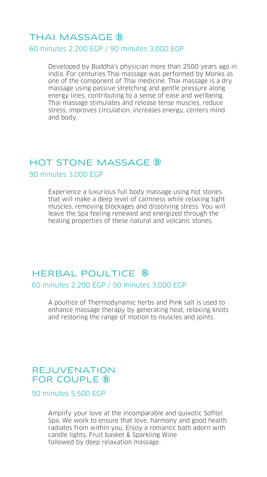#### THAI MASSAGE 60 minutes 2,200 EGP / 90 minutes 3,000 EGP

Developed by Buddha's physician more than 2500 years ago in India. For centuries Thai massage was performed by Monks as one of the component of Thai medicine. Thai massage is a dry massage using passive stretching and gentle pressure along energy lines, contributing to a sense of ease and wellbeing. Thai massage stimulates and release tense muscles, reduce stress, improves circulation, increases energy, centers mind and body.

#### HOT STONE MASSAGE ®

90 minutes 3,000 EGP

Experience a luxurious full body massage using hot stones that will make a deep level of calmness while relaxing tight muscles, removing blockages and dissolving stress. You will leave the Spa feeling renewed and energized through the healing properties of these natural and volcanic stones.

# HERBAL POULTICE **B** 60 minutes 2,200 EGP / 90 minutes 3,000 EGP

A poultice of Thermodynamic herbs and Pink salt is used to enhance massage therapy by generating heat, relaxing knots and restoring the range of motion to muscles and joints.

#### REJUVENATION FOR COUPLE **B**

90 minutes 5,500 EGP

Amplify your love at the incomparable and quixotic Sofitel Spa, We work to ensure that love, harmony and good health radiates from within you, Enjoy a romantic bath adorn with candle lights, Fruit basket & Sparkling Wine followed by deep relaxation massage.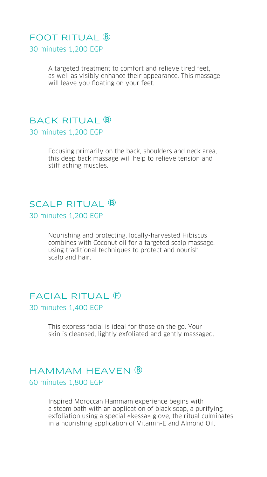# FOOT RITUAL **B**

30 minutes 1,200 EGP

A targeted treatment to comfort and relieve tired feet, as well as visibly enhance their appearance. This massage will leave you floating on your feet.

#### BACK RITUAL B 30 minutes 1,200 EGP

Focusing primarily on the back, shoulders and neck area, this deep back massage will help to relieve tension and stiff aching muscles.

# SCALP RITUAL **B**

30 minutes 1,200 EGP

Nourishing and protecting, locally-harvested Hibiscus combines with Coconut oil for a targeted scalp massage. using traditional techniques to protect and nourish scalp and hair.

#### FACIAL RITUAL 30 minutes 1,400 EGP

This express facial is ideal for those on the go. Your skin is cleansed, lightly exfoliated and gently massaged.

# HAMMAM HEAVFN B 60 minutes 1,800 EGP

Inspired Moroccan Hammam experience begins with a steam bath with an application of black soap, a purifying exfoliation using a special «kessa» glove, the ritual culminates in a nourishing application of Vitamin-E and Almond Oil.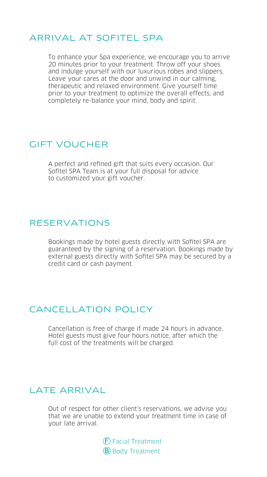#### ARRIVAL AT SOFITEL SPA

To enhance your Spa experience, we encourage you to arrive 20 minutes prior to your treatment. Throw off your shoes and indulge yourself with our luxurious robes and slippers, Leave your cares at the door and unwind in our calming, therapeutic and relaxed environment. Give yourself time prior to your treatment to optimize the overall effects, and completely re-balance your mind, body and spirit.

#### GIFT VOUCHER

A perfect and refined gift that suits every occasion. Our Sofitel SPA Team is at your full disposal for advice to customized your gift voucher.

#### RESERVATIONS

Bookings made by hotel guests directly with Sofitel SPA are guaranteed by the signing of a reservation. Bookings made by external guests directly with Sofitel SPA may be secured by a credit card or cash payment.

## CANCELLATION POLICY

Cancellation is free of charge if made 24 hours in advance. Hotel guests must give four hours notice, after which the full cost of the treatments will be charged.

## LATE ARRIVAL

Out of respect for other client's reservations, we advise you that we are unable to extend your treatment time in case of your late arrival.

> Facial Treatment **B** Body Treatment